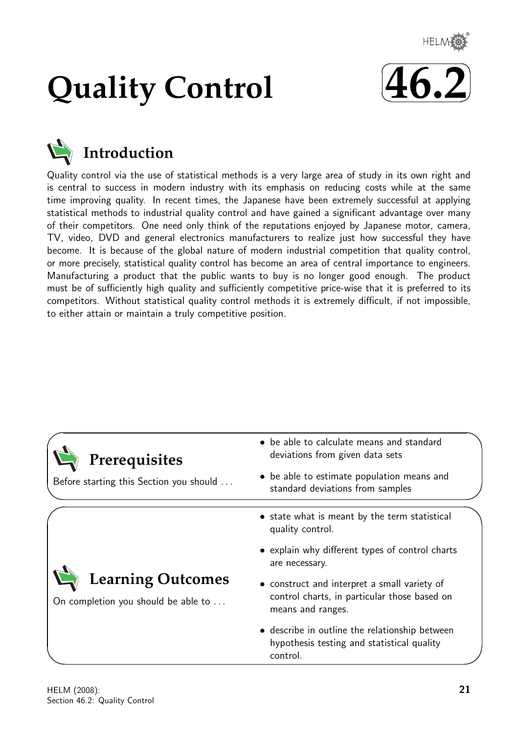

# **Quality Control**





# **Introduction**

Quality control via the use of statistical methods is a very large area of study in its own right and is central to success in modern industry with its emphasis on reducing costs while at the same time improving quality. In recent times, the Japanese have been extremely successful at applying statistical methods to industrial quality control and have gained a significant advantage over many of their competitors. One need only think of the reputations enjoyed by Japanese motor, camera, TV, video, DVD and general electronics manufacturers to realize just how successful they have become. It is because of the global nature of modern industrial competition that quality control, or more precisely, statistical quality control has become an area of central importance to engineers. Manufacturing a product that the public wants to buy is no longer good enough. The product must be of sufficiently high quality and sufficiently competitive price-wise that it is preferred to its competitors. Without statistical quality control methods it is extremely difficult, if not impossible, to either attain or maintain a truly competitive position.

| Prerequisites<br>Before starting this Section you should        | • be able to calculate means and standard<br>deviations from given data sets<br>• be able to estimate population means and<br>standard deviations from samples |
|-----------------------------------------------------------------|----------------------------------------------------------------------------------------------------------------------------------------------------------------|
|                                                                 | • state what is meant by the term statistical<br>quality control.                                                                                              |
|                                                                 | • explain why different types of control charts<br>are necessary.                                                                                              |
| <b>Learning Outcomes</b><br>On completion you should be able to | • construct and interpret a small variety of<br>control charts, in particular those based on<br>means and ranges.                                              |
|                                                                 | • describe in outline the relationship between<br>hypothesis testing and statistical quality<br>control.                                                       |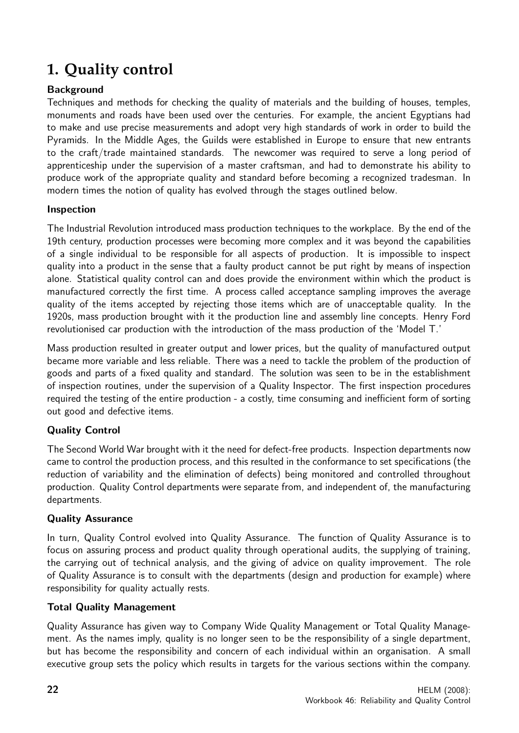# **1. Quality control**

# Background

Techniques and methods for checking the quality of materials and the building of houses, temples, monuments and roads have been used over the centuries. For example, the ancient Egyptians had to make and use precise measurements and adopt very high standards of work in order to build the Pyramids. In the Middle Ages, the Guilds were established in Europe to ensure that new entrants to the craft/trade maintained standards. The newcomer was required to serve a long period of apprenticeship under the supervision of a master craftsman, and had to demonstrate his ability to produce work of the appropriate quality and standard before becoming a recognized tradesman. In modern times the notion of quality has evolved through the stages outlined below.

## Inspection

The Industrial Revolution introduced mass production techniques to the workplace. By the end of the 19th century, production processes were becoming more complex and it was beyond the capabilities of a single individual to be responsible for all aspects of production. It is impossible to inspect quality into a product in the sense that a faulty product cannot be put right by means of inspection alone. Statistical quality control can and does provide the environment within which the product is manufactured correctly the first time. A process called acceptance sampling improves the average quality of the items accepted by rejecting those items which are of unacceptable quality. In the 1920s, mass production brought with it the production line and assembly line concepts. Henry Ford revolutionised car production with the introduction of the mass production of the 'Model T.'

Mass production resulted in greater output and lower prices, but the quality of manufactured output became more variable and less reliable. There was a need to tackle the problem of the production of goods and parts of a fixed quality and standard. The solution was seen to be in the establishment of inspection routines, under the supervision of a Quality Inspector. The first inspection procedures required the testing of the entire production - a costly, time consuming and inefficient form of sorting out good and defective items.

# Quality Control

The Second World War brought with it the need for defect-free products. Inspection departments now came to control the production process, and this resulted in the conformance to set specifications (the reduction of variability and the elimination of defects) being monitored and controlled throughout production. Quality Control departments were separate from, and independent of, the manufacturing departments.

# Quality Assurance

In turn, Quality Control evolved into Quality Assurance. The function of Quality Assurance is to focus on assuring process and product quality through operational audits, the supplying of training, the carrying out of technical analysis, and the giving of advice on quality improvement. The role of Quality Assurance is to consult with the departments (design and production for example) where responsibility for quality actually rests.

#### Total Quality Management

Quality Assurance has given way to Company Wide Quality Management or Total Quality Management. As the names imply, quality is no longer seen to be the responsibility of a single department, but has become the responsibility and concern of each individual within an organisation. A small executive group sets the policy which results in targets for the various sections within the company.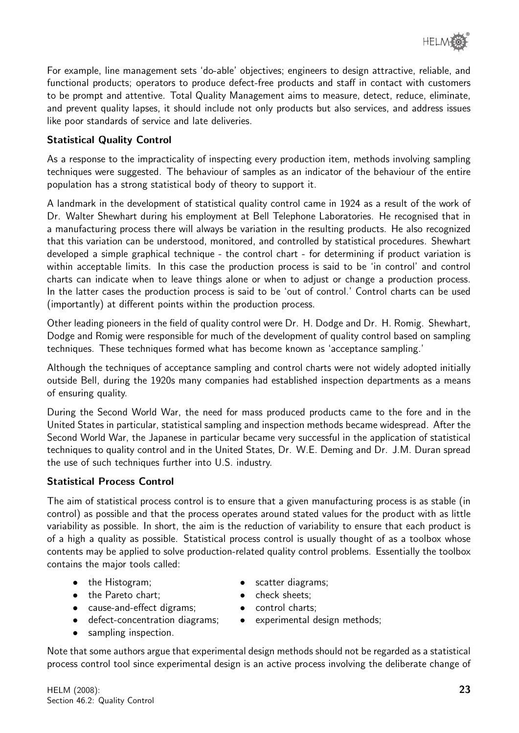

For example, line management sets 'do-able' objectives; engineers to design attractive, reliable, and functional products; operators to produce defect-free products and staff in contact with customers to be prompt and attentive. Total Quality Management aims to measure, detect, reduce, eliminate, and prevent quality lapses, it should include not only products but also services, and address issues like poor standards of service and late deliveries.

## Statistical Quality Control

As a response to the impracticality of inspecting every production item, methods involving sampling techniques were suggested. The behaviour of samples as an indicator of the behaviour of the entire population has a strong statistical body of theory to support it.

A landmark in the development of statistical quality control came in 1924 as a result of the work of Dr. Walter Shewhart during his employment at Bell Telephone Laboratories. He recognised that in a manufacturing process there will always be variation in the resulting products. He also recognized that this variation can be understood, monitored, and controlled by statistical procedures. Shewhart developed a simple graphical technique - the control chart - for determining if product variation is within acceptable limits. In this case the production process is said to be 'in control' and control charts can indicate when to leave things alone or when to adjust or change a production process. In the latter cases the production process is said to be 'out of control.' Control charts can be used (importantly) at different points within the production process.

Other leading pioneers in the field of quality control were Dr. H. Dodge and Dr. H. Romig. Shewhart, Dodge and Romig were responsible for much of the development of quality control based on sampling techniques. These techniques formed what has become known as 'acceptance sampling.'

Although the techniques of acceptance sampling and control charts were not widely adopted initially outside Bell, during the 1920s many companies had established inspection departments as a means of ensuring quality.

During the Second World War, the need for mass produced products came to the fore and in the United States in particular, statistical sampling and inspection methods became widespread. After the Second World War, the Japanese in particular became very successful in the application of statistical techniques to quality control and in the United States, Dr. W.E. Deming and Dr. J.M. Duran spread the use of such techniques further into U.S. industry.

#### Statistical Process Control

The aim of statistical process control is to ensure that a given manufacturing process is as stable (in control) as possible and that the process operates around stated values for the product with as little variability as possible. In short, the aim is the reduction of variability to ensure that each product is of a high a quality as possible. Statistical process control is usually thought of as a toolbox whose contents may be applied to solve production-related quality control problems. Essentially the toolbox contains the major tools called:

- the Histogram; scatter diagrams;
- 
- 
- cause-and-effect digrams; control charts;
- 
- sampling inspection.

- the Pareto chart; • check sheets;
	-
- defect-concentration diagrams; experimental design methods;

Note that some authors argue that experimental design methods should not be regarded as a statistical process control tool since experimental design is an active process involving the deliberate change of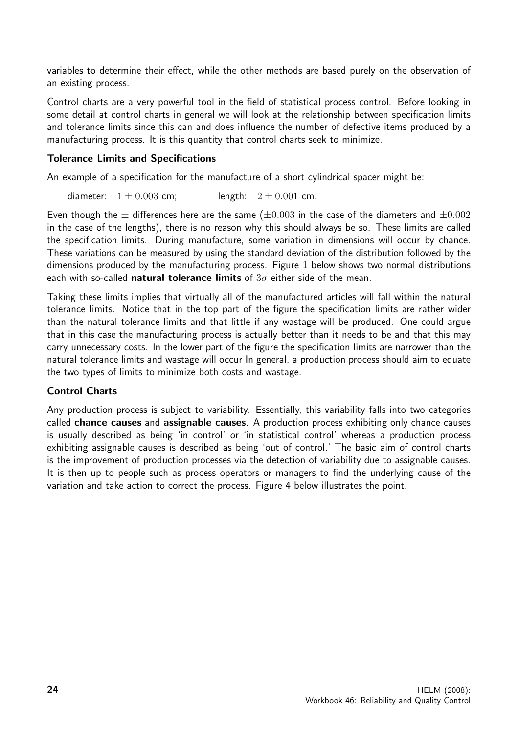variables to determine their effect, while the other methods are based purely on the observation of an existing process.

Control charts are a very powerful tool in the field of statistical process control. Before looking in some detail at control charts in general we will look at the relationship between specification limits and tolerance limits since this can and does influence the number of defective items produced by a manufacturing process. It is this quantity that control charts seek to minimize.

#### Tolerance Limits and Specifications

An example of a specification for the manufacture of a short cylindrical spacer might be:

diameter:  $1 \pm 0.003$  cm; length:  $2 \pm 0.001$  cm.

Even though the  $\pm$  differences here are the same ( $\pm 0.003$  in the case of the diameters and  $\pm 0.002$ in the case of the lengths), there is no reason why this should always be so. These limits are called the specification limits. During manufacture, some variation in dimensions will occur by chance. These variations can be measured by using the standard deviation of the distribution followed by the dimensions produced by the manufacturing process. Figure 1 below shows two normal distributions each with so-called natural tolerance limits of  $3\sigma$  either side of the mean.

Taking these limits implies that virtually all of the manufactured articles will fall within the natural tolerance limits. Notice that in the top part of the figure the specification limits are rather wider than the natural tolerance limits and that little if any wastage will be produced. One could argue that in this case the manufacturing process is actually better than it needs to be and that this may carry unnecessary costs. In the lower part of the figure the specification limits are narrower than the natural tolerance limits and wastage will occur In general, a production process should aim to equate the two types of limits to minimize both costs and wastage.

#### Control Charts

Any production process is subject to variability. Essentially, this variability falls into two categories called chance causes and assignable causes. A production process exhibiting only chance causes is usually described as being 'in control' or 'in statistical control' whereas a production process exhibiting assignable causes is described as being 'out of control.' The basic aim of control charts is the improvement of production processes via the detection of variability due to assignable causes. It is then up to people such as process operators or managers to find the underlying cause of the variation and take action to correct the process. Figure 4 below illustrates the point.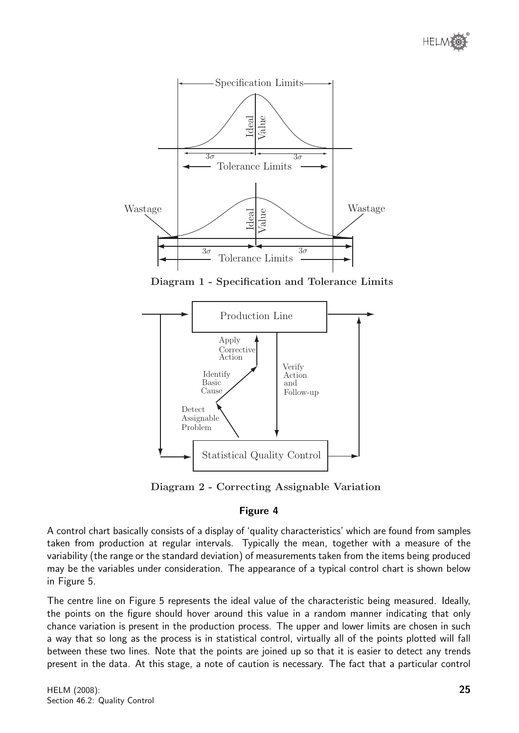



Diagram 1 - Specification and Tolerance Limits



# Figure 4

A control chart basically consists of a display of 'quality characteristics' which are found from samples taken from production at regular intervals. Typically the mean, together with a measure of the variability (the range or the standard deviation) of measurements taken from the items being produced may be the variables under consideration. The appearance of a typical control chart is shown below in Figure 5.

The centre line on Figure 5 represents the ideal value of the characteristic being measured. Ideally, the points on the figure should hover around this value in a random manner indicating that only chance variation is present in the production process. The upper and lower limits are chosen in such a way that so long as the process is in statistical control, virtually all of the points plotted will fall between these two lines. Note that the points are joined up so that it is easier to detect any trends present in the data. At this stage, a note of caution is necessary. The fact that a particular control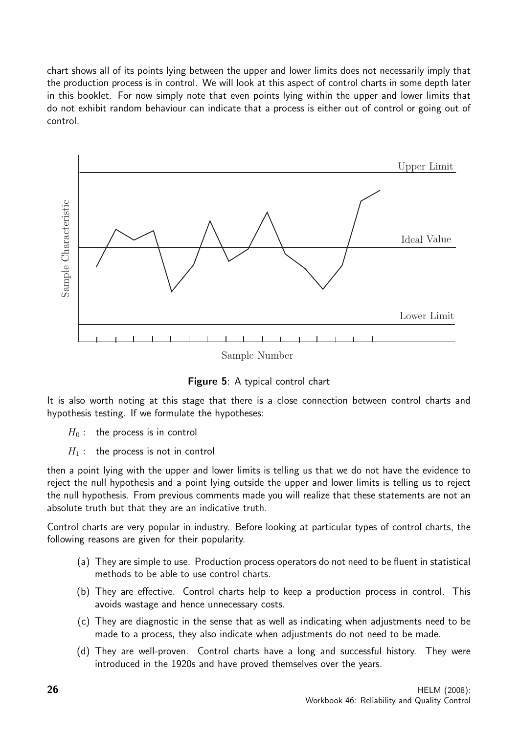chart shows all of its points lying between the upper and lower limits does not necessarily imply that the production process is in control. We will look at this aspect of control charts in some depth later in this booklet. For now simply note that even points lying within the upper and lower limits that do not exhibit random behaviour can indicate that a process is either out of control or going out of control.



Figure 5: A typical control chart

It is also worth noting at this stage that there is a close connection between control charts and hypothesis testing. If we formulate the hypotheses:

- $H_0$ : the process is in control
- $H_1$ : the process is not in control

then a point lying with the upper and lower limits is telling us that we do not have the evidence to reject the null hypothesis and a point lying outside the upper and lower limits is telling us to reject the null hypothesis. From previous comments made you will realize that these statements are not an absolute truth but that they are an indicative truth.

Control charts are very popular in industry. Before looking at particular types of control charts, the following reasons are given for their popularity.

- (a) They are simple to use. Production process operators do not need to be fluent in statistical methods to be able to use control charts.
- (b) They are effective. Control charts help to keep a production process in control. This avoids wastage and hence unnecessary costs.
- (c) They are diagnostic in the sense that as well as indicating when adjustments need to be made to a process, they also indicate when adjustments do not need to be made.
- (d) They are well-proven. Control charts have a long and successful history. They were introduced in the 1920s and have proved themselves over the years.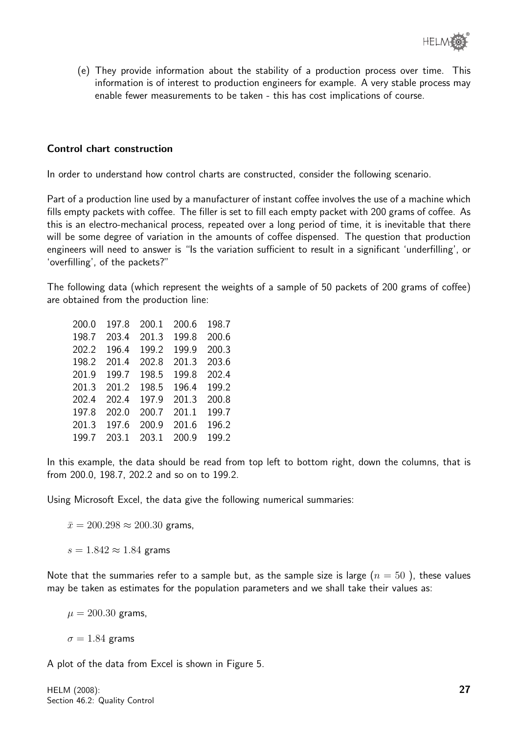(e) They provide information about the stability of a production process over time. This information is of interest to production engineers for example. A very stable process may enable fewer measurements to be taken - this has cost implications of course.

#### Control chart construction

In order to understand how control charts are constructed, consider the following scenario.

Part of a production line used by a manufacturer of instant coffee involves the use of a machine which fills empty packets with coffee. The filler is set to fill each empty packet with 200 grams of coffee. As this is an electro-mechanical process, repeated over a long period of time, it is inevitable that there will be some degree of variation in the amounts of coffee dispensed. The question that production engineers will need to answer is "Is the variation sufficient to result in a significant 'underfilling', or 'overfilling', of the packets?"

The following data (which represent the weights of a sample of 50 packets of 200 grams of coffee) are obtained from the production line:

| 200.0 | 197.8 | 200.1 | 200.6 | 198.7 |
|-------|-------|-------|-------|-------|
| 198.7 | 203.4 | 201.3 | 199.8 | 200.6 |
| 202.2 | 196.4 | 199.2 | 199.9 | 200.3 |
| 198.2 | 201.4 | 202.8 | 201.3 | 203.6 |
| 201.9 | 199.7 | 198.5 | 199.8 | 202.4 |
| 201.3 | 201.2 | 198.5 | 196.4 | 199.2 |
| 202.4 | 202.4 | 197.9 | 201.3 | 200.8 |
| 197.8 | 202.0 | 200.7 | 201.1 | 199.7 |
| 201.3 | 197.6 | 200.9 | 201.6 | 196.2 |
| 199.7 | 203.1 | 203.1 | 200.9 | 199.2 |

In this example, the data should be read from top left to bottom right, down the columns, that is from 200.0, 198.7, 202.2 and so on to 199.2.

Using Microsoft Excel, the data give the following numerical summaries:

 $\bar{x} = 200.298 \approx 200.30$  grams,

 $s = 1.842 \approx 1.84$  grams

Note that the summaries refer to a sample but, as the sample size is large  $(n = 50)$ , these values may be taken as estimates for the population parameters and we shall take their values as:

 $\mu = 200.30$  grams,

 $\sigma = 1.84$  grams

A plot of the data from Excel is shown in Figure 5.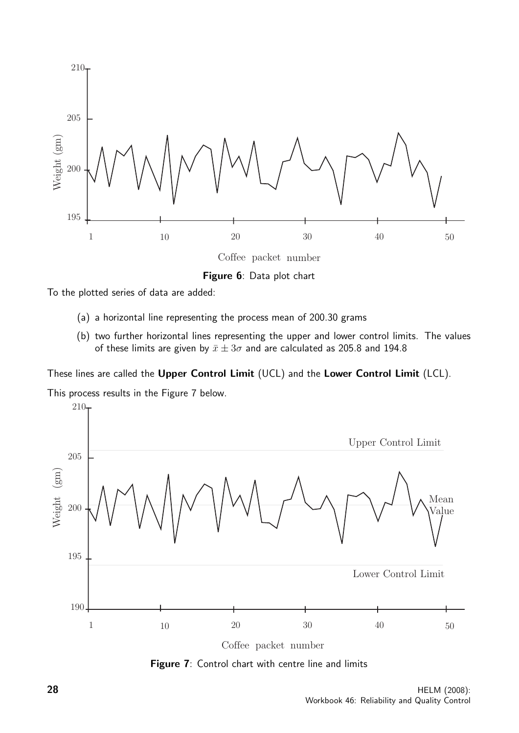

Figure 6: Data plot chart

To the plotted series of data are added:

- (a) a horizontal line representing the process mean of 200.30 grams
- (b) two further horizontal lines representing the upper and lower control limits. The values of these limits are given by  $\bar{x} \pm 3\sigma$  and are calculated as 205.8 and 194.8

These lines are called the Upper Control Limit (UCL) and the Lower Control Limit (LCL).

This process results in the Figure 7 below.



Figure 7: Control chart with centre line and limits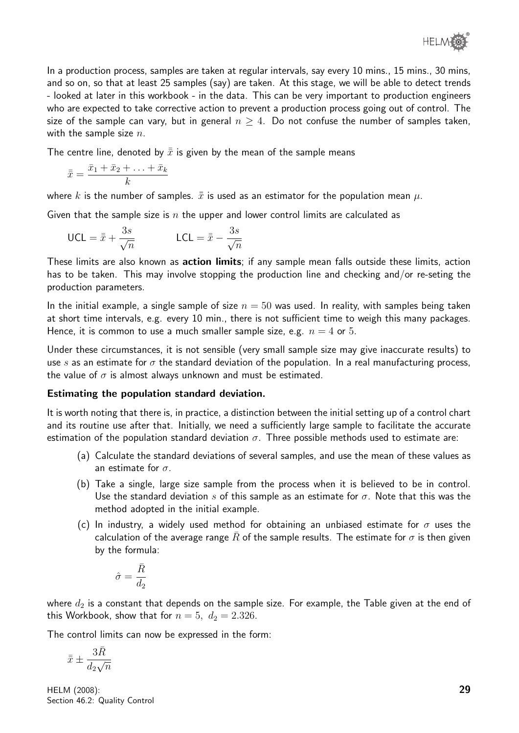In a production process, samples are taken at regular intervals, say every 10 mins., 15 mins., 30 mins, and so on, so that at least 25 samples (say) are taken. At this stage, we will be able to detect trends - looked at later in this workbook - in the data. This can be very important to production engineers who are expected to take corrective action to prevent a production process going out of control. The size of the sample can vary, but in general  $n \geq 4$ . Do not confuse the number of samples taken, with the sample size  $n$ .

The centre line, denoted by  $\bar{\bar{x}}$  is given by the mean of the sample means

$$
\bar{\bar{x}} = \frac{\bar{x}_1 + \bar{x}_2 + \ldots + \bar{x}_k}{k}
$$

where k is the number of samples.  $\bar{x}$  is used as an estimator for the population mean  $\mu$ .

Given that the sample size is n the upper and lower control limits are calculated as

$$
\text{UCL} = \bar{\bar{x}} + \frac{3s}{\sqrt{n}} \qquad \qquad \text{LCL} = \bar{\bar{x}} - \frac{3s}{\sqrt{n}}
$$

These limits are also known as **action limits**; if any sample mean falls outside these limits, action has to be taken. This may involve stopping the production line and checking and/or re-seting the production parameters.

In the initial example, a single sample of size  $n = 50$  was used. In reality, with samples being taken at short time intervals, e.g. every 10 min., there is not sufficient time to weigh this many packages. Hence, it is common to use a much smaller sample size, e.g.  $n = 4$  or 5.

Under these circumstances, it is not sensible (very small sample size may give inaccurate results) to use s as an estimate for  $\sigma$  the standard deviation of the population. In a real manufacturing process, the value of  $\sigma$  is almost always unknown and must be estimated.

#### Estimating the population standard deviation.

It is worth noting that there is, in practice, a distinction between the initial setting up of a control chart and its routine use after that. Initially, we need a sufficiently large sample to facilitate the accurate estimation of the population standard deviation  $\sigma$ . Three possible methods used to estimate are:

- (a) Calculate the standard deviations of several samples, and use the mean of these values as an estimate for  $\sigma$ .
- (b) Take a single, large size sample from the process when it is believed to be in control. Use the standard deviation s of this sample as an estimate for  $\sigma$ . Note that this was the method adopted in the initial example.
- (c) In industry, a widely used method for obtaining an unbiased estimate for  $\sigma$  uses the calculation of the average range  $\bar{R}$  of the sample results. The estimate for  $\sigma$  is then given by the formula:

$$
\hat{\sigma}=\frac{\bar{R}}{d_2}
$$

where  $d_2$  is a constant that depends on the sample size. For example, the Table given at the end of this Workbook, show that for  $n = 5$ ,  $d_2 = 2.326$ .

The control limits can now be expressed in the form:

$$
\bar{\bar{x}} \pm \frac{3\bar{R}}{d_2\sqrt{n}}
$$

HELM (2008): Section 46.2: Quality Control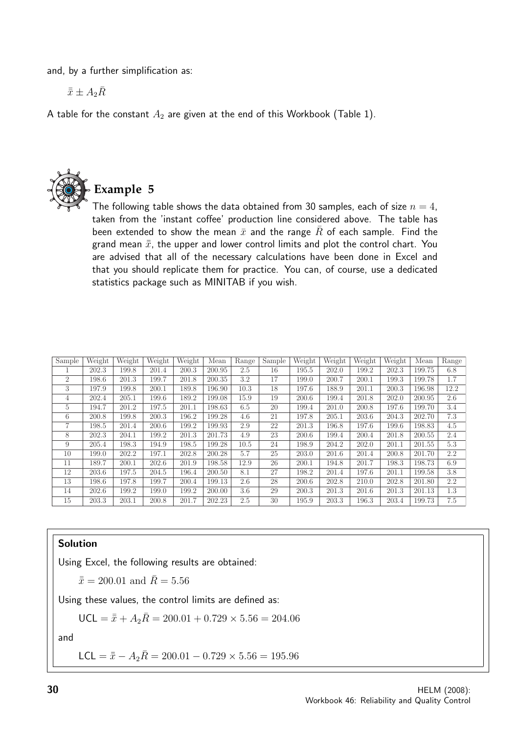and, by a further simplification as:

 $\bar{\bar{x}} \pm A_2 \bar{R}$ 

A table for the constant  $A_2$  are given at the end of this Workbook (Table 1).



**Example 5**

The following table shows the data obtained from 30 samples, each of size  $n=4$ , taken from the 'instant coffee' production line considered above. The table has been extended to show the mean  $\bar{x}$  and the range R of each sample. Find the grand mean  $\bar{\bar{x}}$ , the upper and lower control limits and plot the control chart. You are advised that all of the necessary calculations have been done in Excel and that you should replicate them for practice. You can, of course, use a dedicated statistics package such as MINITAB if you wish.

| Sample         | Weight | Weight | Weight | Weight | Mean   | Range | Sample | Weight | Weight | Weight | Weight | Mean   | Range |
|----------------|--------|--------|--------|--------|--------|-------|--------|--------|--------|--------|--------|--------|-------|
|                | 202.3  | 199.8  | 201.4  | 200.3  | 200.95 | 2.5   | 16     | 195.5  | 202.0  | 199.2  | 202.3  | 199.75 | 6.8   |
| $\overline{2}$ | 198.6  | 201.3  | 199.7  | 201.8  | 200.35 | 3.2   | 17     | 199.0  | 200.7  | 200.1  | 199.3  | 199.78 | 1.7   |
| 3              | 197.9  | 199.8  | 200.1  | 189.8  | 196.90 | 10.3  | 18     | 197.6  | 188.9  | 201.1  | 200.3  | 196.98 | 12.2  |
| 4              | 202.4  | 205.1  | 199.6  | 189.2  | 199.08 | 15.9  | 19     | 200.6  | 199.4  | 201.8  | 202.0  | 200.95 | 2.6   |
| 5              | 194.7  | 201.2  | 197.5  | 201.1  | 198.63 | 6.5   | 20     | 199.4  | 201.0  | 200.8  | 197.6  | 199.70 | 3.4   |
| 6              | 200.8  | 199.8  | 200.3  | 196.2  | 199.28 | 4.6   | 21     | 197.8  | 205.1  | 203.6  | 204.3  | 202.70 | 7.3   |
|                | 198.5  | 201.4  | 200.6  | 199.2  | 199.93 | 2.9   | 22     | 201.3  | 196.8  | 197.6  | 199.6  | 198.83 | 4.5   |
| 8              | 202.3  | 204.1  | 199.2  | 201.3  | 201.73 | 4.9   | 23     | 200.6  | 199.4  | 200.4  | 201.8  | 200.55 | 2.4   |
| 9              | 205.4  | 198.3  | 194.9  | 198.5  | 199.28 | 10.5  | 24     | 198.9  | 204.2  | 202.0  | 201.1  | 201.55 | 5.3   |
| 10             | 199.0  | 202.2  | 197.1  | 202.8  | 200.28 | 5.7   | 25     | 203.0  | 201.6  | 201.4  | 200.8  | 201.70 | 2.2   |
| 11             | 189.7  | 200.1  | 202.6  | 201.9  | 198.58 | 12.9  | 26     | 200.1  | 194.8  | 201.7  | 198.3  | 198.73 | 6.9   |
| 12             | 203.6  | 197.5  | 204.5  | 196.4  | 200.50 | 8.1   | 27     | 198.2  | 201.4  | 197.6  | 201.1  | 199.58 | 3.8   |
| 13             | 198.6  | 197.8  | 199.7  | 200.4  | 199.13 | 2.6   | 28     | 200.6  | 202.8  | 210.0  | 202.8  | 201.80 | 2.2   |
| 14             | 202.6  | 199.2  | 199.0  | 199.2  | 200.00 | 3.6   | 29     | 200.3  | 201.3  | 201.6  | 201.3  | 201.13 | 1.3   |
| 15             | 203.3  | 203.1  | 200.8  | 201.7  | 202.23 | 2.5   | 30     | 195.9  | 203.3  | 196.3  | 203.4  | 199.73 | 7.5   |

#### Solution

Using Excel, the following results are obtained:

 $\bar{x} = 200.01$  and  $\bar{R} = 5.56$ 

Using these values, the control limits are defined as:

$$
\text{UCL} = \bar{\bar{x}} + A_2 \bar{R} = 200.01 + 0.729 \times 5.56 = 204.06
$$

and

LCL =  $\bar{x} - A_2 \bar{R} = 200.01 - 0.729 \times 5.56 = 195.96$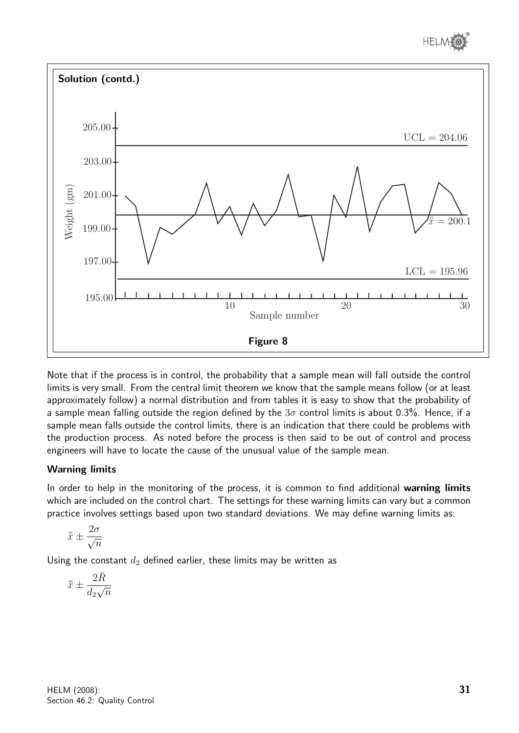



Note that if the process is in control, the probability that a sample mean will fall outside the control limits is very small. From the central limit theorem we know that the sample means follow (or at least approximately follow) a normal distribution and from tables it is easy to show that the probability of a sample mean falling outside the region defined by the  $3\sigma$  control limits is about 0.3%. Hence, if a sample mean falls outside the control limits, there is an indication that there could be problems with the production process. As noted before the process is then said to be out of control and process engineers will have to locate the cause of the unusual value of the sample mean.

#### Warning limits

In order to help in the monitoring of the process, it is common to find additional warning limits which are included on the control chart. The settings for these warning limits can vary but a common practice involves settings based upon two standard deviations. We may define warning limits as:

$$
\bar{\bar{x}} \pm \frac{2\sigma}{\sqrt{n}}
$$

Using the constant  $d_2$  defined earlier, these limits may be written as

$$
\bar{\bar{x}}\pm\frac{2\bar{R}}{d_2\sqrt{n}}
$$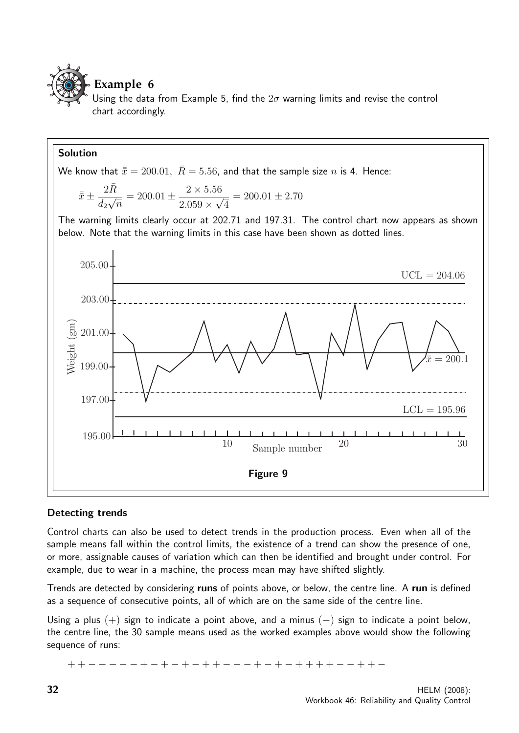

# **Example 6**

Using the data from Example 5, find the  $2\sigma$  warning limits and revise the control chart accordingly.

#### Solution

We know that  $\bar{x} = 200.01$ ,  $\bar{R} = 5.56$ , and that the sample size n is 4. Hence:

$$
\bar{x} \pm \frac{2\bar{R}}{d_2\sqrt{n}} = 200.01 \pm \frac{2 \times 5.56}{2.059 \times \sqrt{4}} = 200.01 \pm 2.70
$$

The warning limits clearly occur at 202.71 and 197.31. The control chart now appears as shown below. Note that the warning limits in this case have been shown as dotted lines.



#### Detecting trends

Control charts can also be used to detect trends in the production process. Even when all of the sample means fall within the control limits, the existence of a trend can show the presence of one, or more, assignable causes of variation which can then be identified and brought under control. For example, due to wear in a machine, the process mean may have shifted slightly.

Trends are detected by considering runs of points above, or below, the centre line. A run is defined as a sequence of consecutive points, all of which are on the same side of the centre line.

Using a plus  $(+)$  sign to indicate a point above, and a minus  $(-)$  sign to indicate a point below, the centre line, the 30 sample means used as the worked examples above would show the following sequence of runs:

+ + − − − − − + − + − + − + + − − − + − + − + + + + − − + + −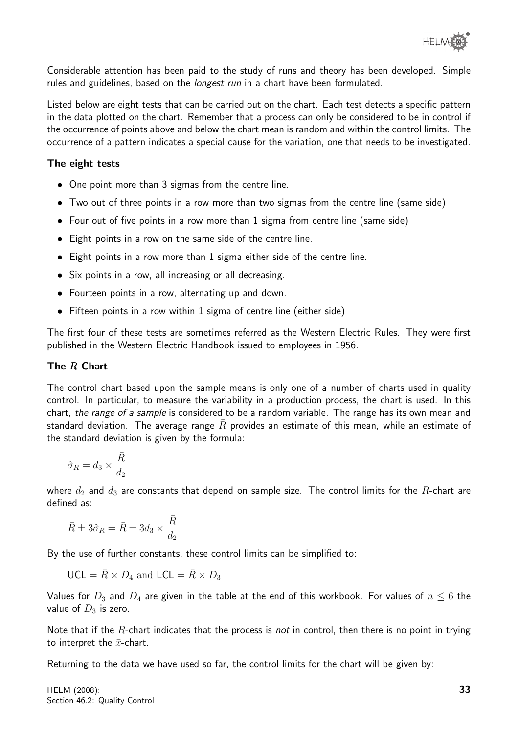Considerable attention has been paid to the study of runs and theory has been developed. Simple rules and guidelines, based on the *longest run* in a chart have been formulated.

Listed below are eight tests that can be carried out on the chart. Each test detects a specific pattern in the data plotted on the chart. Remember that a process can only be considered to be in control if the occurrence of points above and below the chart mean is random and within the control limits. The occurrence of a pattern indicates a special cause for the variation, one that needs to be investigated.

#### The eight tests

- One point more than 3 sigmas from the centre line.
- Two out of three points in a row more than two sigmas from the centre line (same side)
- Four out of five points in a row more than 1 sigma from centre line (same side)
- Eight points in a row on the same side of the centre line.
- Eight points in a row more than 1 sigma either side of the centre line.
- Six points in a row, all increasing or all decreasing.
- Fourteen points in a row, alternating up and down.
- Fifteen points in a row within 1 sigma of centre line (either side)

The first four of these tests are sometimes referred as the Western Electric Rules. They were first published in the Western Electric Handbook issued to employees in 1956.

#### The R-Chart

The control chart based upon the sample means is only one of a number of charts used in quality control. In particular, to measure the variability in a production process, the chart is used. In this chart, the range of a sample is considered to be a random variable. The range has its own mean and standard deviation. The average range  $\bar{R}$  provides an estimate of this mean, while an estimate of the standard deviation is given by the formula:

$$
\hat{\sigma}_R = d_3 \times \frac{\bar{R}}{d_2}
$$

where  $d_2$  and  $d_3$  are constants that depend on sample size. The control limits for the R-chart are defined as:

$$
\bar{R} \pm 3\hat{\sigma}_R = \bar{R} \pm 3d_3 \times \frac{\bar{R}}{d_2}
$$

By the use of further constants, these control limits can be simplified to:

$$
\mathsf{UCL} = \bar{R} \times D_4 \text{ and } \mathsf{LCL} = \bar{R} \times D_3
$$

Values for  $D_3$  and  $D_4$  are given in the table at the end of this workbook. For values of  $n \leq 6$  the value of  $D_3$  is zero.

Note that if the  $R$ -chart indicates that the process is *not* in control, then there is no point in trying to interpret the  $\bar{x}$ -chart.

Returning to the data we have used so far, the control limits for the chart will be given by: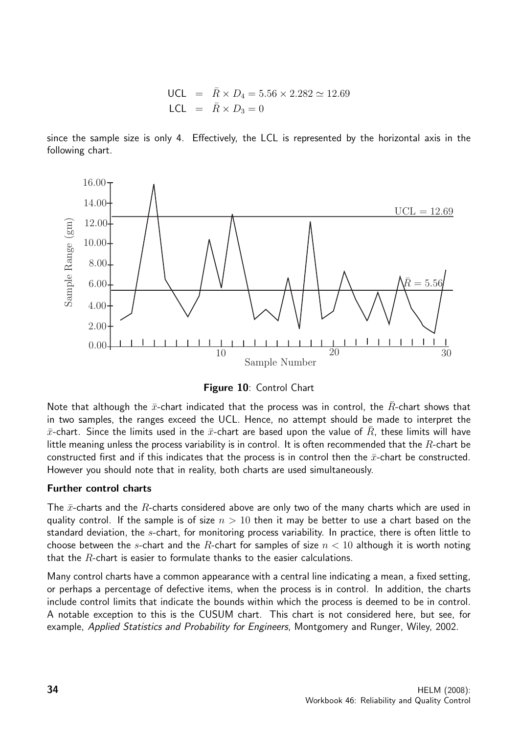UCL = 
$$
\bar{R} \times D_4 = 5.56 \times 2.282 \approx 12.69
$$
  
LCL =  $\bar{R} \times D_3 = 0$ 

since the sample size is only 4. Effectively, the LCL is represented by the horizontal axis in the following chart.



Figure 10: Control Chart

Note that although the  $\bar{x}$ -chart indicated that the process was in control, the  $\bar{R}$ -chart shows that in two samples, the ranges exceed the UCL. Hence, no attempt should be made to interpret the  $\bar{x}$ -chart. Since the limits used in the  $\bar{x}$ -chart are based upon the value of R, these limits will have little meaning unless the process variability is in control. It is often recommended that the  $R$ -chart be constructed first and if this indicates that the process is in control then the  $\bar{x}$ -chart be constructed. However you should note that in reality, both charts are used simultaneously.

#### Further control charts

The  $\bar{x}$ -charts and the R-charts considered above are only two of the many charts which are used in quality control. If the sample is of size  $n > 10$  then it may be better to use a chart based on the standard deviation, the s-chart, for monitoring process variability. In practice, there is often little to choose between the s-chart and the R-chart for samples of size  $n < 10$  although it is worth noting that the  $R$ -chart is easier to formulate thanks to the easier calculations.

Many control charts have a common appearance with a central line indicating a mean, a fixed setting, or perhaps a percentage of defective items, when the process is in control. In addition, the charts include control limits that indicate the bounds within which the process is deemed to be in control. A notable exception to this is the CUSUM chart. This chart is not considered here, but see, for example, Applied Statistics and Probability for Engineers, Montgomery and Runger, Wiley, 2002.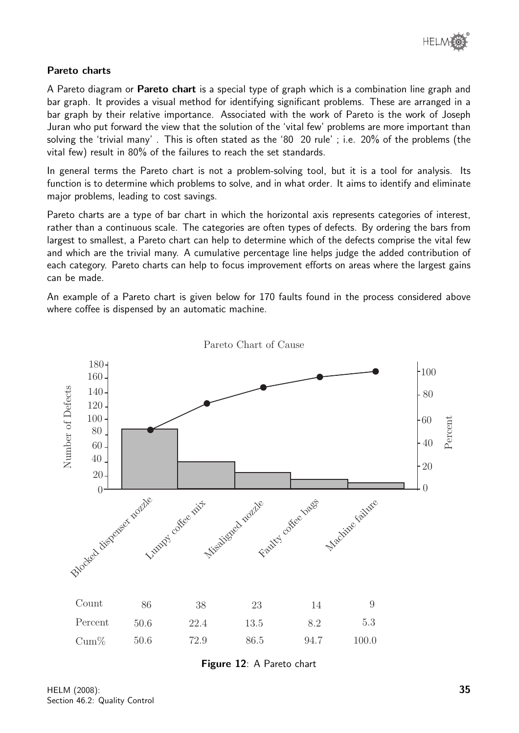#### Pareto charts

A Pareto diagram or **Pareto chart** is a special type of graph which is a combination line graph and bar graph. It provides a visual method for identifying significant problems. These are arranged in a bar graph by their relative importance. Associated with the work of Pareto is the work of Joseph Juran who put forward the view that the solution of the 'vital few' problems are more important than solving the 'trivial many' . This is often stated as the '80 20 rule' ; i.e. 20% of the problems (the vital few) result in 80% of the failures to reach the set standards.

In general terms the Pareto chart is not a problem-solving tool, but it is a tool for analysis. Its function is to determine which problems to solve, and in what order. It aims to identify and eliminate major problems, leading to cost savings.

Pareto charts are a type of bar chart in which the horizontal axis represents categories of interest, rather than a continuous scale. The categories are often types of defects. By ordering the bars from largest to smallest, a Pareto chart can help to determine which of the defects comprise the vital few and which are the trivial many. A cumulative percentage line helps judge the added contribution of each category. Pareto charts can help to focus improvement efforts on areas where the largest gains can be made.

An example of a Pareto chart is given below for 170 faults found in the process considered above where coffee is dispensed by an automatic machine.



Pareto Chart of Cause

Figure 12: A Pareto chart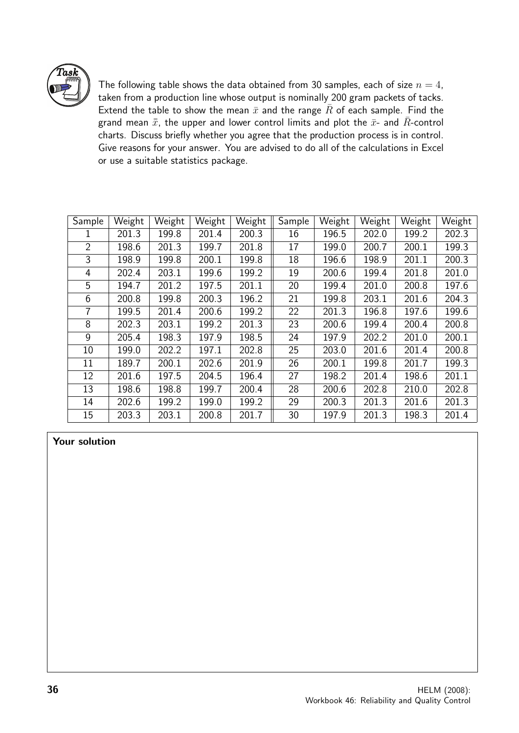

The following table shows the data obtained from 30 samples, each of size  $n = 4$ , taken from a production line whose output is nominally 200 gram packets of tacks. Extend the table to show the mean  $\bar{x}$  and the range  $\bar{R}$  of each sample. Find the grand mean  $\bar{\bar{x}}$ , the upper and lower control limits and plot the  $\bar{x}$ - and  $\bar{R}$ -control charts. Discuss briefly whether you agree that the production process is in control. Give reasons for your answer. You are advised to do all of the calculations in Excel or use a suitable statistics package.

| Sample         | Weight | Weight | Weight | Weight | Sample | Weight | Weight | Weight | Weight |
|----------------|--------|--------|--------|--------|--------|--------|--------|--------|--------|
|                | 201.3  | 199.8  | 201.4  | 200.3  | 16     | 196.5  | 202.0  | 199.2  | 202.3  |
| $\overline{2}$ | 198.6  | 201.3  | 199.7  | 201.8  | 17     | 199.0  | 200.7  | 200.1  | 199.3  |
| 3              | 198.9  | 199.8  | 200.1  | 199.8  | 18     | 196.6  | 198.9  | 201.1  | 200.3  |
| 4              | 202.4  | 203.1  | 199.6  | 199.2  | 19     | 200.6  | 199.4  | 201.8  | 201.0  |
| 5              | 194.7  | 201.2  | 197.5  | 201.1  | 20     | 199.4  | 201.0  | 200.8  | 197.6  |
| 6              | 200.8  | 199.8  | 200.3  | 196.2  | 21     | 199.8  | 203.1  | 201.6  | 204.3  |
| 7              | 199.5  | 201.4  | 200.6  | 199.2  | 22     | 201.3  | 196.8  | 197.6  | 199.6  |
| 8              | 202.3  | 203.1  | 199.2  | 201.3  | 23     | 200.6  | 199.4  | 200.4  | 200.8  |
| 9              | 205.4  | 198.3  | 197.9  | 198.5  | 24     | 197.9  | 202.2  | 201.0  | 200.1  |
| 10             | 199.0  | 202.2  | 197.1  | 202.8  | 25     | 203.0  | 201.6  | 201.4  | 200.8  |
| 11             | 189.7  | 200.1  | 202.6  | 201.9  | 26     | 200.1  | 199.8  | 201.7  | 199.3  |
| 12             | 201.6  | 197.5  | 204.5  | 196.4  | 27     | 198.2  | 201.4  | 198.6  | 201.1  |
| 13             | 198.6  | 198.8  | 199.7  | 200.4  | 28     | 200.6  | 202.8  | 210.0  | 202.8  |
| 14             | 202.6  | 199.2  | 199.0  | 199.2  | 29     | 200.3  | 201.3  | 201.6  | 201.3  |
| 15             | 203.3  | 203.1  | 200.8  | 201.7  | 30     | 197.9  | 201.3  | 198.3  | 201.4  |

Your solution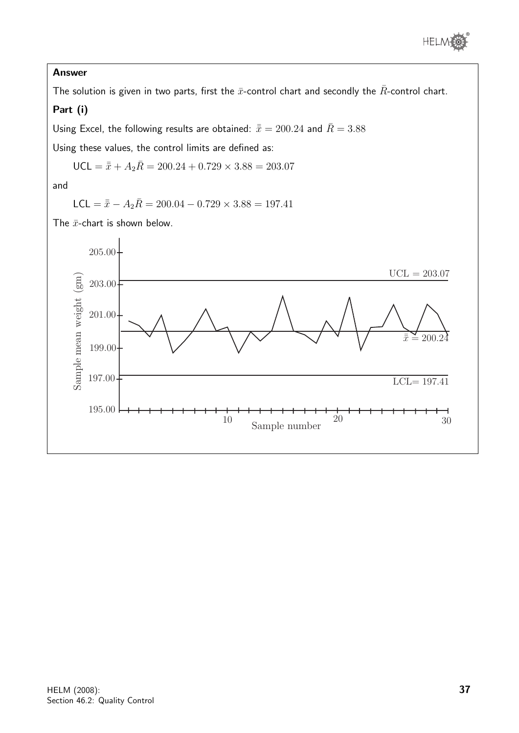## Answer

The solution is given in two parts, first the  $\bar{x}$ -control chart and secondly the  $\bar{R}$ -control chart.

# Part (i)

Using Excel, the following results are obtained:  $\bar{\bar{x}} = 200.24$  and  $\bar{R} = 3.88$ 

Using these values, the control limits are defined as:

$$
\text{UCL} = \bar{\bar{x}} + A_2 \bar{R} = 200.24 + 0.729 \times 3.88 = 203.07
$$

and

$$
\mathsf{LCL} = \bar{\bar{x}} - A_2 \bar{R} = 200.04 - 0.729 \times 3.88 = 197.41
$$

The  $\bar{x}$ -chart is shown below.